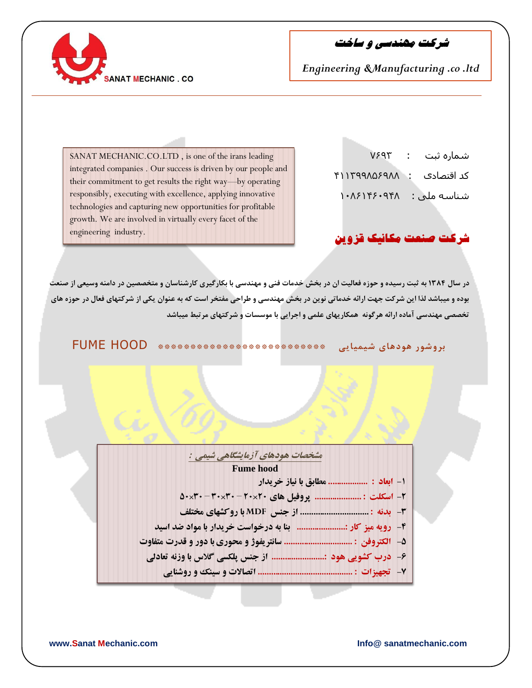**SANAT MECHANIC, CO** 

**شرکت مهندسی و ساخت**

SANAT MECHANIC.CO.LTD , is one of the irans leading integrated companies . Our success is driven by our people and their commitment to get results the right way—by operating responsibly, executing with excellence, applying innovative technologies and capturing new opportunities for profitable growth. We are involved in virtually every facet of the engineering industry.

 شماره ثبت : 3:57 کد اقتصادی : 89975549:544 شناسو ملی : 964:98:6584

## **شرکت صنعت مکانیک قزوین**

در سال ۱۳۸۴ به ثبت رسیده و حوزه فعالیت ان در بخش خدمات فنی و مهندسی با بکارگیری کارشناسان و متخصصین در دامنه وسیعی از صنعت **بًدٌ ي میباشذ لذا ایه شزکت جُت ارائٍ خذماتی وًیه در بخش مُىذسی ي طزاحی مفتخز است کٍ بٍ عىًان یکی اس شزکتُای فعال در حًسٌ َای**  ت*خصصی* مهندسی آماده ارائه هرگونه همکاریهای علمی و اجرایی با موسسات و شرکتهای مرتبط میباشد

**بزيشًر ًَدَای شیمیایی \*\*\*\*\*\*\*\*\*\*\*\*\*\*\*\*\*\*\*\*\*\*\*\*\*\*** HOOD FUME

مشخصات هودهای آزمایشگاهی شیمی : **Fume hood** ۱- ابعاد : .................. مطابق با نیاز خریدار **MDF** ۴- رویه میز کار :........................ بنا به درخواست خریدار با مواد ضد اسید ۵- الکتروفن : ............................... سانتريفوژ و محوري با دور و قدرت متفاوت ۶- درب کشویی هود :........................ از جنس پلکسی گلاس با وزنه تعادلی 

**www.Sanat Mechanic.com Info@ sanatmechanic.com**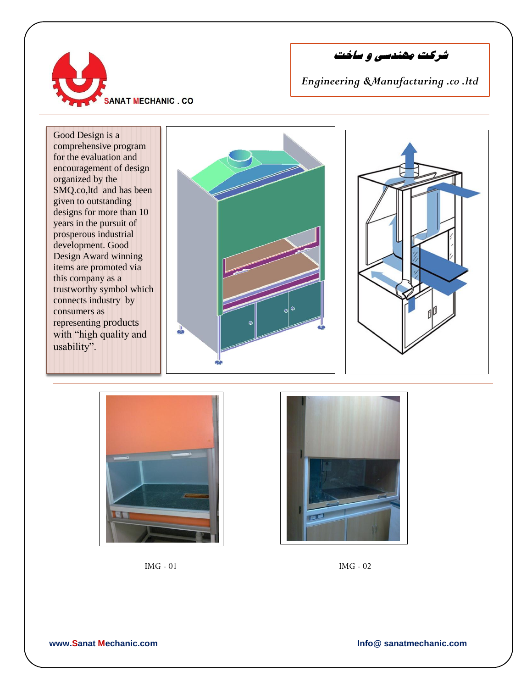

**شرکت مهندسی و ساخت**









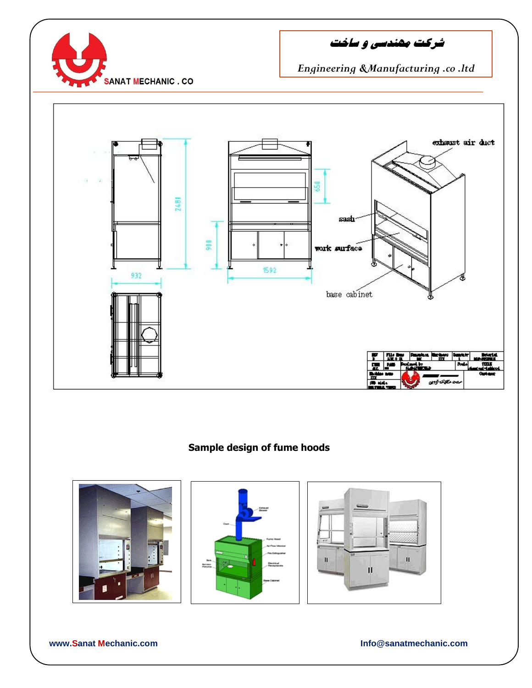

**شرکت مهندسی و ساخت**

## *Engineering &Manufacturing .co .ltd*



**Sample design of fume hoods**







**www.Sanat Mechanic.com Info@sanatmechanic.com**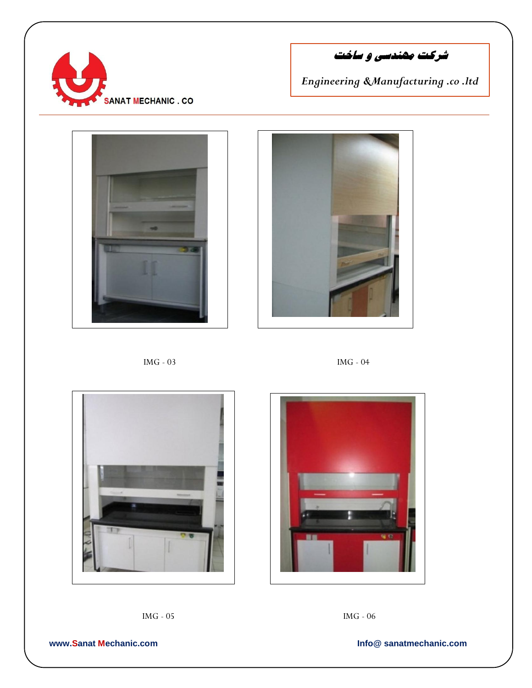

**شرکت مهندسی و ساخت**















**www.Sanat Mechanic.com Info@ sanatmechanic.com**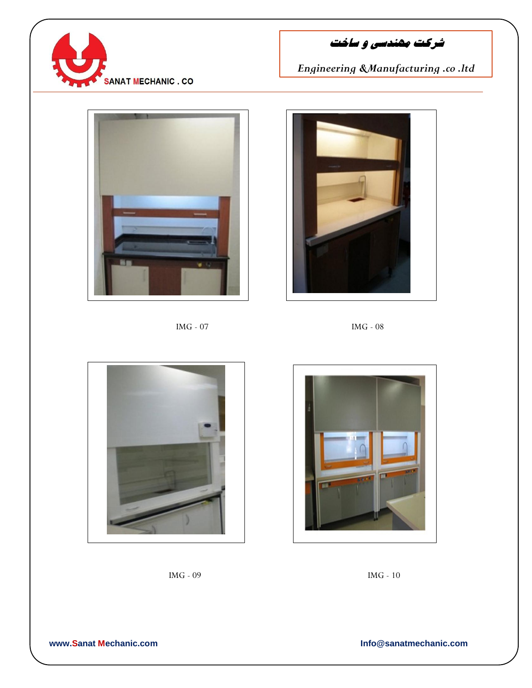

**شرکت مهندسی و ساخت**



IMG - 07 IMG - 08











## **www.Sanat Mechanic.com Info@sanatmechanic.com**